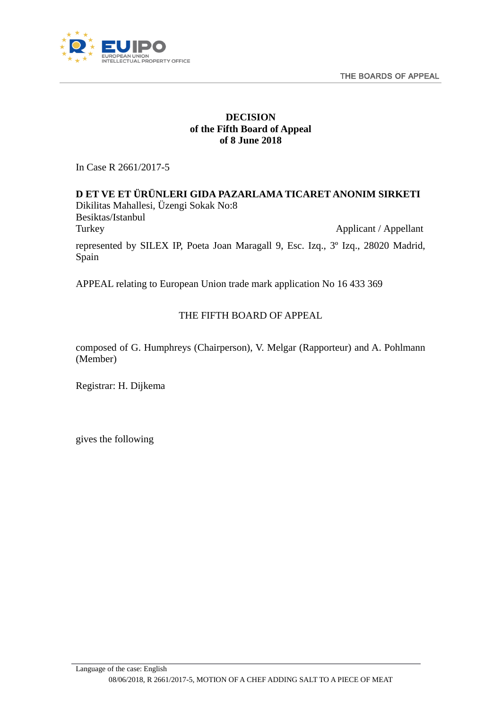THE BOARDS OF APPEAL



# **DECISION of the Fifth Board of Appeal of 8 June 2018**

In Case R 2661/2017-5

**D ET VE ET ÜRÜNLERI GIDA PAZARLAMA TICARET ANONIM SIRKETI** Dikilitas Mahallesi, Üzengi Sokak No:8 Besiktas/Istanbul Turkey Applicant / Appellant represented by SILEX IP, Poeta Joan Maragall 9, Esc. Izq., 3º Izq., 28020 Madrid, Spain

APPEAL relating to European Union trade mark application No 16 433 369

# THE FIFTH BOARD OF APPEAL

composed of G. Humphreys (Chairperson), V. Melgar (Rapporteur) and A. Pohlmann (Member)

Registrar: H. Dijkema

<span id="page-0-0"></span>gives the following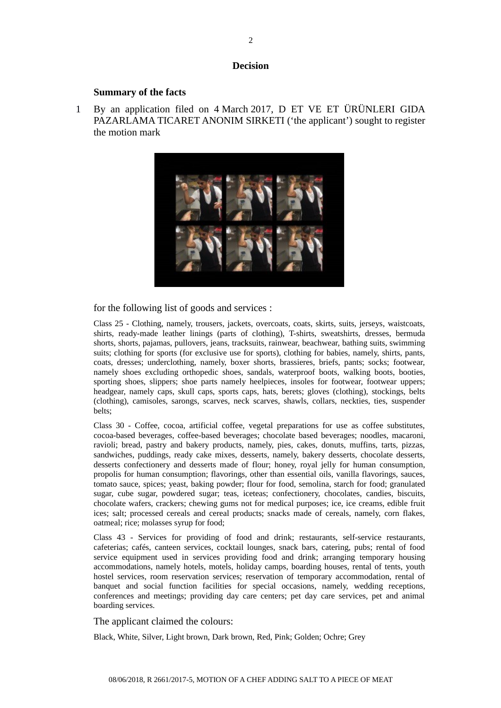#### **Decision**

#### **Summary of the facts**

1 By an application filed on 4 March 2017, D ET VE ET ÜRÜNLERI GIDA PAZARLAMA TICARET ANONIM SIRKETI ('the applicant') sought to register the motion mark



#### for the following list of goods and services :

Class 25 - Clothing, namely, trousers, jackets, overcoats, coats, skirts, suits, jerseys, waistcoats, shirts, ready-made leather linings (parts of clothing), T-shirts, sweatshirts, dresses, bermuda shorts, shorts, pajamas, pullovers, jeans, tracksuits, rainwear, beachwear, bathing suits, swimming suits; clothing for sports (for exclusive use for sports), clothing for babies, namely, shirts, pants, coats, dresses; underclothing, namely, boxer shorts, brassieres, briefs, pants; socks; footwear, namely shoes excluding orthopedic shoes, sandals, waterproof boots, walking boots, booties, sporting shoes, slippers; shoe parts namely heelpieces, insoles for footwear, footwear uppers; headgear, namely caps, skull caps, sports caps, hats, berets; gloves (clothing), stockings, belts (clothing), camisoles, sarongs, scarves, neck scarves, shawls, collars, neckties, ties, suspender belts;

Class 30 - Coffee, cocoa, artificial coffee, vegetal preparations for use as coffee substitutes, cocoa-based beverages, coffee-based beverages; chocolate based beverages; noodles, macaroni, ravioli; bread, pastry and bakery products, namely, pies, cakes, donuts, muffins, tarts, pizzas, sandwiches, puddings, ready cake mixes, desserts, namely, bakery desserts, chocolate desserts, desserts confectionery and desserts made of flour; honey, royal jelly for human consumption, propolis for human consumption; flavorings, other than essential oils, vanilla flavorings, sauces, tomato sauce, spices; yeast, baking powder; flour for food, semolina, starch for food; granulated sugar, cube sugar, powdered sugar; teas, iceteas; confectionery, chocolates, candies, biscuits, chocolate wafers, crackers; chewing gums not for medical purposes; ice, ice creams, edible fruit ices; salt; processed cereals and cereal products; snacks made of cereals, namely, corn flakes, oatmeal; rice; molasses syrup for food;

Class 43 - Services for providing of food and drink; restaurants, self-service restaurants, cafeterias; cafés, canteen services, cocktail lounges, snack bars, catering, pubs; rental of food service equipment used in services providing food and drink; arranging temporary housing accommodations, namely hotels, motels, holiday camps, boarding houses, rental of tents, youth hostel services, room reservation services; reservation of temporary accommodation, rental of banquet and social function facilities for special occasions, namely, wedding receptions, conferences and meetings; providing day care centers; pet day care services, pet and animal boarding services.

#### The applicant claimed the colours:

Black, White, Silver, Light brown, Dark brown, Red, Pink; Golden; Ochre; Grey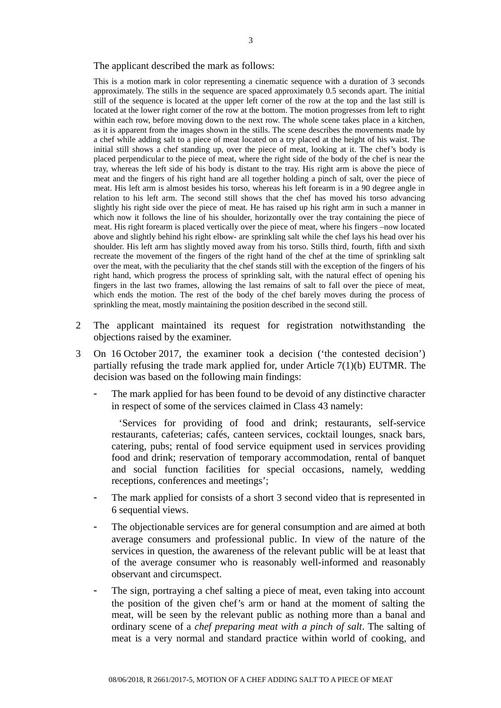The applicant described the mark as follows:

This is a motion mark in color representing a cinematic sequence with a duration of 3 seconds approximately. The stills in the sequence are spaced approximately 0.5 seconds apart. The initial still of the sequence is located at the upper left corner of the row at the top and the last still is located at the lower right corner of the row at the bottom. The motion progresses from left to right within each row, before moving down to the next row. The whole scene takes place in a kitchen, as it is apparent from the images shown in the stills. The scene describes the movements made by a chef while adding salt to a piece of meat located on a try placed at the height of his waist. The initial still shows a chef standing up, over the piece of meat, looking at it. The chef's body is placed perpendicular to the piece of meat, where the right side of the body of the chef is near the tray, whereas the left side of his body is distant to the tray. His right arm is above the piece of meat and the fingers of his right hand are all together holding a pinch of salt, over the piece of meat. His left arm is almost besides his torso, whereas his left forearm is in a 90 degree angle in relation to his left arm. The second still shows that the chef has moved his torso advancing slightly his right side over the piece of meat. He has raised up his right arm in such a manner in which now it follows the line of his shoulder, horizontally over the tray containing the piece of meat. His right forearm is placed vertically over the piece of meat, where his fingers –now located above and slightly behind his right elbow- are sprinkling salt while the chef lays his head over his shoulder. His left arm has slightly moved away from his torso. Stills third, fourth, fifth and sixth recreate the movement of the fingers of the right hand of the chef at the time of sprinkling salt over the meat, with the peculiarity that the chef stands still with the exception of the fingers of his right hand, which progress the process of sprinkling salt, with the natural effect of opening his fingers in the last two frames, allowing the last remains of salt to fall over the piece of meat, which ends the motion. The rest of the body of the chef barely moves during the process of sprinkling the meat, mostly maintaining the position described in the second still.

- 2 The applicant maintained its request for registration notwithstanding the objections raised by the examiner.
- 3 On 16 October 2017, the examiner took a decision ('the contested decision') partially refusing the trade mark applied for, under Article 7(1)(b) EUTMR. The decision was based on the following main findings:
	- The mark applied for has been found to be devoid of any distinctive character in respect of some of the services claimed in Class 43 namely:

 'Services for providing of food and drink; restaurants, self-service restaurants, cafeterias; cafés, canteen services, cocktail lounges, snack bars, catering, pubs; rental of food service equipment used in services providing food and drink; reservation of temporary accommodation, rental of banquet and social function facilities for special occasions, namely, wedding receptions, conferences and meetings';

- The mark applied for consists of a short 3 second video that is represented in 6 sequential views.
- The objectionable services are for general consumption and are aimed at both average consumers and professional public. In view of the nature of the services in question, the awareness of the relevant public will be at least that of the average consumer who is reasonably well-informed and reasonably observant and circumspect.
- The sign, portraying a chef salting a piece of meat, even taking into account the position of the given chef's arm or hand at the moment of salting the meat, will be seen by the relevant public as nothing more than a banal and ordinary scene of a *chef preparing meat with a pinch of salt*. The salting of meat is a very normal and standard practice within world of cooking, and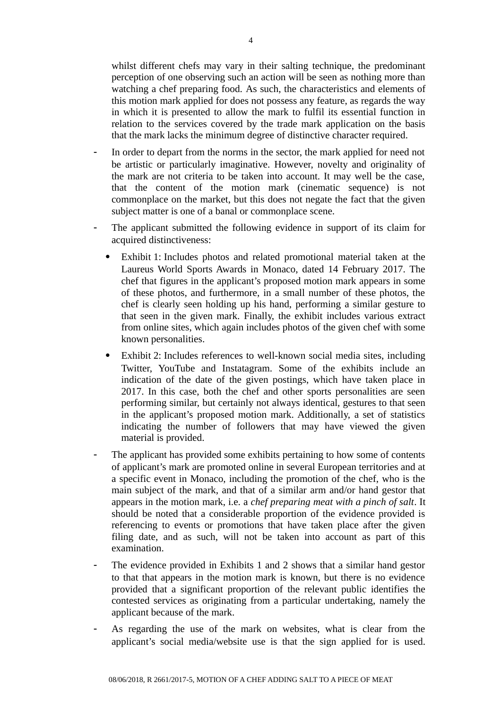whilst different chefs may vary in their salting technique, the predominant perception of one observing such an action will be seen as nothing more than watching a chef preparing food. As such, the characteristics and elements of this motion mark applied for does not possess any feature, as regards the way in which it is presented to allow the mark to fulfil its essential function in relation to the services covered by the trade mark application on the basis that the mark lacks the minimum degree of distinctive character required.

- In order to depart from the norms in the sector, the mark applied for need not be artistic or particularly imaginative. However, novelty and originality of the mark are not criteria to be taken into account. It may well be the case, that the content of the motion mark (cinematic sequence) is not commonplace on the market, but this does not negate the fact that the given subject matter is one of a banal or commonplace scene.
- The applicant submitted the following evidence in support of its claim for acquired distinctiveness:
	- Exhibit 1: Includes photos and related promotional material taken at the Laureus World Sports Awards in Monaco, dated 14 February 2017. The chef that figures in the applicant's proposed motion mark appears in some of these photos, and furthermore, in a small number of these photos, the chef is clearly seen holding up his hand, performing a similar gesture to that seen in the given mark. Finally, the exhibit includes various extract from online sites, which again includes photos of the given chef with some known personalities.
	- Exhibit 2: Includes references to well-known social media sites, including Twitter, YouTube and Instatagram. Some of the exhibits include an indication of the date of the given postings, which have taken place in 2017. In this case, both the chef and other sports personalities are seen performing similar, but certainly not always identical, gestures to that seen in the applicant's proposed motion mark. Additionally, a set of statistics indicating the number of followers that may have viewed the given material is provided.
- The applicant has provided some exhibits pertaining to how some of contents of applicant's mark are promoted online in several European territories and at a specific event in Monaco, including the promotion of the chef, who is the main subject of the mark, and that of a similar arm and/or hand gestor that appears in the motion mark, i.e. a *chef preparing meat with a pinch of salt*. It should be noted that a considerable proportion of the evidence provided is referencing to events or promotions that have taken place after the given filing date, and as such, will not be taken into account as part of this examination.
- The evidence provided in Exhibits 1 and 2 shows that a similar hand gestor to that that appears in the motion mark is known, but there is no evidence provided that a significant proportion of the relevant public identifies the contested services as originating from a particular undertaking, namely the applicant because of the mark.
- As regarding the use of the mark on websites, what is clear from the applicant's social media/website use is that the sign applied for is used.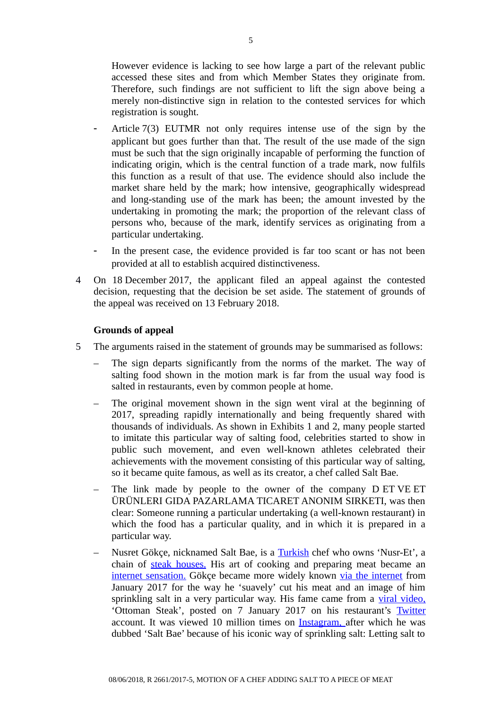However evidence is lacking to see how large a part of the relevant public accessed these sites and from which Member States they originate from. Therefore, such findings are not sufficient to lift the sign above being a merely non-distinctive sign in relation to the contested services for which registration is sought.

- Article 7(3) EUTMR not only requires intense use of the sign by the applicant but goes further than that. The result of the use made of the sign must be such that the sign originally incapable of performing the function of indicating origin, which is the central function of a trade mark, now fulfils this function as a result of that use. The evidence should also include the market share held by the mark; how intensive, geographically widespread and long-standing use of the mark has been; the amount invested by the undertaking in promoting the mark; the proportion of the relevant class of persons who, because of the mark, identify services as originating from a particular undertaking.
- In the present case, the evidence provided is far too scant or has not been provided at all to establish acquired distinctiveness.
- 4 On 18 December 2017, the applicant filed an appeal against the contested decision, requesting that the decision be set aside. The statement of grounds of the appeal was received on 13 February 2018.

### **Grounds of appeal**

- 5 The arguments raised in the statement of grounds may be summarised as follows:
	- The sign departs significantly from the norms of the market. The way of salting food shown in the motion mark is far from the usual way food is salted in restaurants, even by common people at home.
	- The original movement shown in the sign went viral at the beginning of 2017, spreading rapidly internationally and being frequently shared with thousands of individuals. As shown in Exhibits 1 and 2, many people started to imitate this particular way of salting food, celebrities started to show in public such movement, and even well-known athletes celebrated their achievements with the movement consisting of this particular way of salting, so it became quite famous, as well as its creator, a chef called Salt Bae.
	- The link made by people to the owner of the company D ET VE ET ÜRÜNLERI GIDA PAZARLAMA TICARET ANONIM SIRKETI, was then clear: Someone running a particular undertaking (a well-known restaurant) in which the food has a particular quality, and in which it is prepared in a particular way.
	- Nusret Gökçe, nicknamed Salt Bae, is a [Turkish](https://en.wikipedia.org/wiki/Turkey) chef who owns 'Nusr-Et', a chain of [steak houses.](https://en.wikipedia.org/wiki/Steak_house) His art of cooking and preparing meat became an [internet sensation.](https://en.wikipedia.org/wiki/Internet_meme) Gökce became more widely known [via the internet](https://en.wikipedia.org/wiki/Internet_meme) from January 2017 for the way he 'suavely' cut his meat and an image of him sprinkling salt in a very particular way. His fame came from a [viral video,](https://en.wikipedia.org/wiki/Viral_video) 'Ottoman Steak', posted on 7 January 2017 on his restaurant's [Twitter](https://en.wikipedia.org/wiki/Twitter) account. It was viewed 10 million times on [Instagram, a](https://en.wikipedia.org/wiki/Instagram)fter which he was dubbed 'Salt Bae' because of his iconic way of sprinkling salt: Letting salt to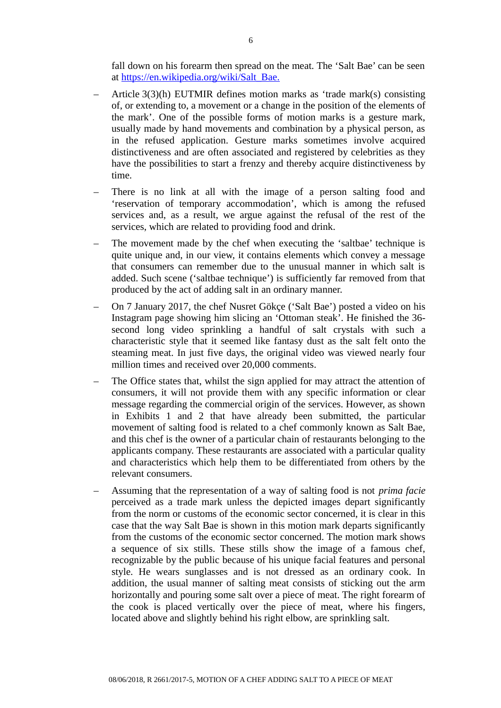fall down on his forearm then spread on the meat. The 'Salt Bae' can be seen at [https://en.wikipedia.org/wiki/Salt\\_Bae.](https://en.wikipedia.org/wiki/Salt_Bae)

- Article 3(3)(h) EUTMIR defines motion marks as 'trade mark(s) consisting of, or extending to, a movement or a change in the position of the elements of the mark'. One of the possible forms of motion marks is a gesture mark, usually made by hand movements and combination by a physical person, as in the refused application. Gesture marks sometimes involve acquired distinctiveness and are often associated and registered by celebrities as they have the possibilities to start a frenzy and thereby acquire distinctiveness by time.
- There is no link at all with the image of a person salting food and 'reservation of temporary accommodation', which is among the refused services and, as a result, we argue against the refusal of the rest of the services, which are related to providing food and drink.
- The movement made by the chef when executing the 'saltbae' technique is quite unique and, in our view, it contains elements which convey a message that consumers can remember due to the unusual manner in which salt is added. Such scene ('saltbae technique') is sufficiently far removed from that produced by the act of adding salt in an ordinary manner.
- On 7 January 2017, the chef Nusret Gökçe ('Salt Bae') posted a video on his Instagram page showing him slicing an 'Ottoman steak'. He finished the 36 second long video sprinkling a handful of salt crystals with such a characteristic style that it seemed like fantasy dust as the salt felt onto the steaming meat. In just five days, the original video was viewed nearly four million times and received over 20,000 comments.
- The Office states that, whilst the sign applied for may attract the attention of consumers, it will not provide them with any specific information or clear message regarding the commercial origin of the services. However, as shown in Exhibits 1 and 2 that have already been submitted, the particular movement of salting food is related to a chef commonly known as Salt Bae, and this chef is the owner of a particular chain of restaurants belonging to the applicants company. These restaurants are associated with a particular quality and characteristics which help them to be differentiated from others by the relevant consumers.
- Assuming that the representation of a way of salting food is not *prima facie* perceived as a trade mark unless the depicted images depart significantly from the norm or customs of the economic sector concerned, it is clear in this case that the way Salt Bae is shown in this motion mark departs significantly from the customs of the economic sector concerned. The motion mark shows a sequence of six stills. These stills show the image of a famous chef, recognizable by the public because of his unique facial features and personal style. He wears sunglasses and is not dressed as an ordinary cook. In addition, the usual manner of salting meat consists of sticking out the arm horizontally and pouring some salt over a piece of meat. The right forearm of the cook is placed vertically over the piece of meat, where his fingers, located above and slightly behind his right elbow, are sprinkling salt.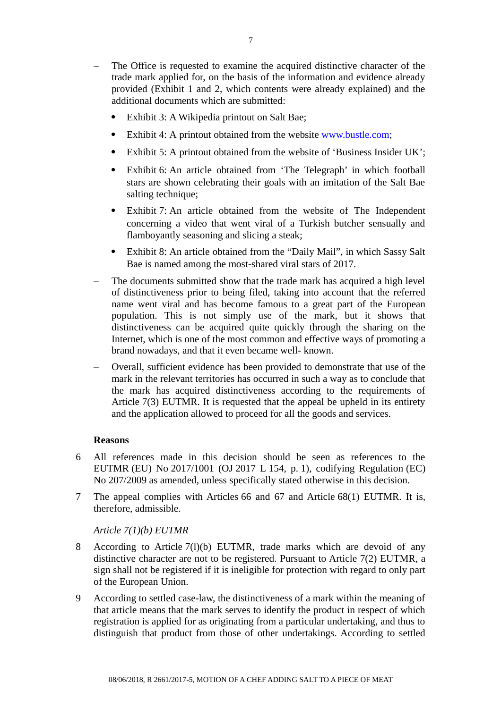- The Office is requested to examine the acquired distinctive character of the trade mark applied for, on the basis of the information and evidence already provided (Exhibit 1 and 2, which contents were already explained) and the additional documents which are submitted:
	- Exhibit 3: A Wikipedia printout on Salt Bae;
	- Exhibit 4: A printout obtained from the website [www.bustle.com;](http://www.bustle.com/)
	- Exhibit 5: A printout obtained from the website of 'Business Insider UK';
	- Exhibit 6: An article obtained from 'The Telegraph' in which football stars are shown celebrating their goals with an imitation of the Salt Bae salting technique;
	- Exhibit 7: An article obtained from the website of The Independent concerning a video that went viral of a Turkish butcher sensually and flamboyantly seasoning and slicing a steak;
	- Exhibit 8: An article obtained from the "Daily Mail", in which Sassy Salt Bae is named among the most-shared viral stars of 2017.
- The documents submitted show that the trade mark has acquired a high level of distinctiveness prior to being filed, taking into account that the referred name went viral and has become famous to a great part of the European population. This is not simply use of the mark, but it shows that distinctiveness can be acquired quite quickly through the sharing on the Internet, which is one of the most common and effective ways of promoting a brand nowadays, and that it even became well- known.
- Overall, sufficient evidence has been provided to demonstrate that use of the mark in the relevant territories has occurred in such a way as to conclude that the mark has acquired distinctiveness according to the requirements of Article 7(3) EUTMR. It is requested that the appeal be upheld in its entirety and the application allowed to proceed for all the goods and services.

### **Reasons**

- 6 All references made in this decision should be seen as references to the EUTMR (EU) No 2017/1001 (OJ 2017 L 154, p. 1), codifying Regulation (EC) No 207/2009 as amended, unless specifically stated otherwise in this decision.
- 7 The appeal complies with Articles 66 and 67 and Article 68(1) EUTMR. It is, therefore, admissible.

### *Article 7(1)(b) EUTMR*

- 8 According to Article 7(l)(b) EUTMR, trade marks which are devoid of any distinctive character are not to be registered. Pursuant to Article 7(2) EUTMR, a sign shall not be registered if it is ineligible for protection with regard to only part of the European Union.
- 9 According to settled case-law, the distinctiveness of a mark within the meaning of that article means that the mark serves to identify the product in respect of which registration is applied for as originating from a particular undertaking, and thus to distinguish that product from those of other undertakings. According to settled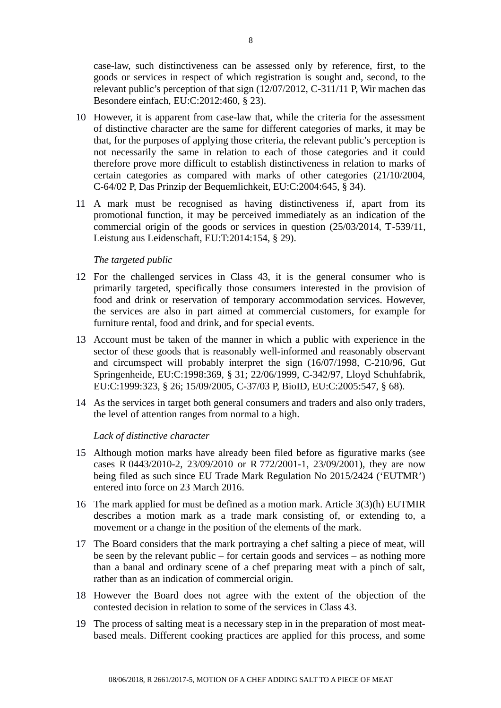case-law, such distinctiveness can be assessed only by reference, first, to the goods or services in respect of which registration is sought and, second, to the relevant public's perception of that sign (12/07/2012, C-311/11 P, Wir machen das Besondere einfach, EU:C:2012:460, § 23).

- 10 However, it is apparent from case-law that, while the criteria for the assessment of distinctive character are the same for different categories of marks, it may be that, for the purposes of applying those criteria, the relevant public's perception is not necessarily the same in relation to each of those categories and it could therefore prove more difficult to establish distinctiveness in relation to marks of certain categories as compared with marks of other categories (21/10/2004, C-64/02 P, Das Prinzip der Bequemlichkeit, EU:C:2004:645, § 34).
- 11 A mark must be recognised as having distinctiveness if, apart from its promotional function, it may be perceived immediately as an indication of the commercial origin of the goods or services in question (25/03/2014, T-539/11, Leistung aus Leidenschaft, EU:T:2014:154, § 29).

### *The targeted public*

- 12 For the challenged services in Class 43, it is the general consumer who is primarily targeted, specifically those consumers interested in the provision of food and drink or reservation of temporary accommodation services. However, the services are also in part aimed at commercial customers, for example for furniture rental, food and drink, and for special events.
- 13 Account must be taken of the manner in which a public with experience in the sector of these goods that is reasonably well-informed and reasonably observant and circumspect will probably interpret the sign (16/07/1998, C-210/96, Gut Springenheide, EU:C:1998:369, § 31; 22/06/1999, C-342/97, Lloyd Schuhfabrik, EU:C:1999:323, § 26; 15/09/2005, C-37/03 P, BioID, EU:C:2005:547, § 68).
- 14 As the services in target both general consumers and traders and also only traders, the level of attention ranges from normal to a high.

### *Lack of distinctive character*

- 15 Although motion marks have already been filed before as figurative marks (see cases R 0443/2010-2, 23/09/2010 or R 772/2001-1, 23/09/2001), they are now being filed as such since EU Trade Mark Regulation No 2015/2424 ('EUTMR') entered into force on 23 March 2016.
- 16 The mark applied for must be defined as a motion mark. Article 3(3)(h) EUTMIR describes a motion mark as a trade mark consisting of, or extending to, a movement or a change in the position of the elements of the mark.
- 17 The Board considers that the mark portraying a chef salting a piece of meat, will be seen by the relevant public – for certain goods and services – as nothing more than a banal and ordinary scene of a chef preparing meat with a pinch of salt, rather than as an indication of commercial origin.
- 18 However the Board does not agree with the extent of the objection of the contested decision in relation to some of the services in Class 43.
- 19 The process of salting meat is a necessary step in in the preparation of most meatbased meals. Different cooking practices are applied for this process, and some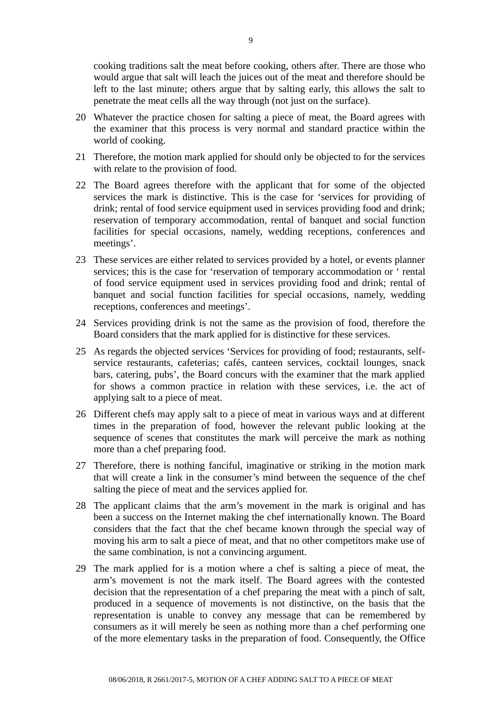cooking traditions salt the meat before cooking, others after. There are those who would argue that salt will leach the juices out of the meat and therefore should be left to the last minute; others argue that by salting early, this allows the salt to penetrate the meat cells all the way through (not just on the surface).

- 20 Whatever the practice chosen for salting a piece of meat, the Board agrees with the examiner that this process is very normal and standard practice within the world of cooking.
- 21 Therefore, the motion mark applied for should only be objected to for the services with relate to the provision of food.
- 22 The Board agrees therefore with the applicant that for some of the objected services the mark is distinctive. This is the case for 'services for providing of drink; rental of food service equipment used in services providing food and drink; reservation of temporary accommodation, rental of banquet and social function facilities for special occasions, namely, wedding receptions, conferences and meetings'.
- 23 These services are either related to services provided by a hotel, or events planner services; this is the case for 'reservation of temporary accommodation or ' rental of food service equipment used in services providing food and drink; rental of banquet and social function facilities for special occasions, namely, wedding receptions, conferences and meetings'.
- 24 Services providing drink is not the same as the provision of food, therefore the Board considers that the mark applied for is distinctive for these services.
- 25 As regards the objected services 'Services for providing of food; restaurants, selfservice restaurants, cafeterias; cafés, canteen services, cocktail lounges, snack bars, catering, pubs', the Board concurs with the examiner that the mark applied for shows a common practice in relation with these services, i.e. the act of applying salt to a piece of meat.
- 26 Different chefs may apply salt to a piece of meat in various ways and at different times in the preparation of food, however the relevant public looking at the sequence of scenes that constitutes the mark will perceive the mark as nothing more than a chef preparing food.
- 27 Therefore, there is nothing fanciful, imaginative or striking in the motion mark that will create a link in the consumer's mind between the sequence of the chef salting the piece of meat and the services applied for.
- 28 The applicant claims that the arm's movement in the mark is original and has been a success on the Internet making the chef internationally known. The Board considers that the fact that the chef became known through the special way of moving his arm to salt a piece of meat, and that no other competitors make use of the same combination, is not a convincing argument.
- 29 The mark applied for is a motion where a chef is salting a piece of meat, the arm's movement is not the mark itself. The Board agrees with the contested decision that the representation of a chef preparing the meat with a pinch of salt, produced in a sequence of movements is not distinctive, on the basis that the representation is unable to convey any message that can be remembered by consumers as it will merely be seen as nothing more than a chef performing one of the more elementary tasks in the preparation of food. Consequently, the Office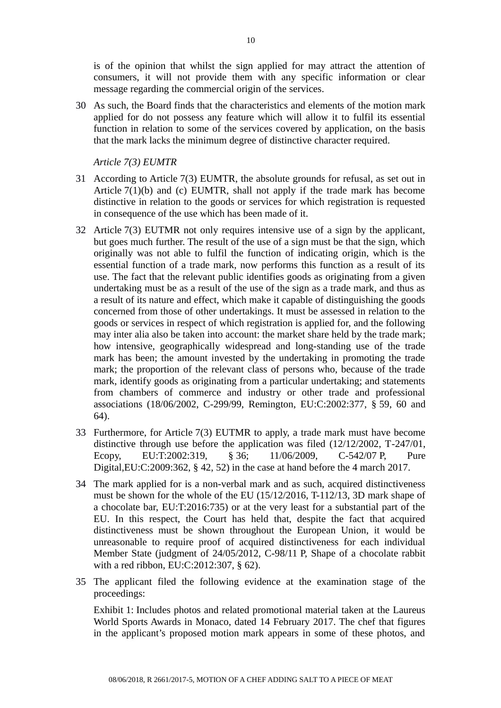is of the opinion that whilst the sign applied for may attract the attention of consumers, it will not provide them with any specific information or clear message regarding the commercial origin of the services.

30 As such, the Board finds that the characteristics and elements of the motion mark applied for do not possess any feature which will allow it to fulfil its essential function in relation to some of the services covered by application, on the basis that the mark lacks the minimum degree of distinctive character required.

*Article 7(3) EUMTR*

- 31 According to Article 7(3) EUMTR, the absolute grounds for refusal, as set out in Article 7(1)(b) and (c) EUMTR, shall not apply if the trade mark has become distinctive in relation to the goods or services for which registration is requested in consequence of the use which has been made of it.
- 32 Article 7(3) EUTMR not only requires intensive use of a sign by the applicant, but goes much further. The result of the use of a sign must be that the sign, which originally was not able to fulfil the function of indicating origin, which is the essential function of a trade mark, now performs this function as a result of its use. The fact that the relevant public identifies goods as originating from a given undertaking must be as a result of the use of the sign as a trade mark, and thus as a result of its nature and effect, which make it capable of distinguishing the goods concerned from those of other undertakings. It must be assessed in relation to the goods or services in respect of which registration is applied for, and the following may inter alia also be taken into account: the market share held by the trade mark; how intensive, geographically widespread and long-standing use of the trade mark has been; the amount invested by the undertaking in promoting the trade mark; the proportion of the relevant class of persons who, because of the trade mark, identify goods as originating from a particular undertaking; and statements from chambers of commerce and industry or other trade and professional associations (18/06/2002, C-299/99, Remington, EU:C:2002:377, § 59, 60 and 64).
- 33 Furthermore, for Article 7(3) EUTMR to apply, a trade mark must have become distinctive through use before the application was filed (12/12/2002, T-247/01, Ecopy, EU:T:2002:319, § 36; 11/06/2009, C-542/07 P, Pure Digital,EU:C:2009:362, § 42, 52) in the case at hand before the 4 march 2017.
- 34 The mark applied for is a non-verbal mark and as such, acquired distinctiveness must be shown for the whole of the EU (15/12/2016, T-112/13, 3D mark shape of a chocolate bar, EU:T:2016:735) or at the very least for a substantial part of the EU. In this respect, the Court has held that, despite the fact that acquired distinctiveness must be shown throughout the European Union, it would be unreasonable to require proof of acquired distinctiveness for each individual Member State (judgment of 24/05/2012, C-98/11 P, Shape of a chocolate rabbit with a red ribbon, EU:C:2012:307, § 62).
- 35 The applicant filed the following evidence at the examination stage of the proceedings:

Exhibit 1: Includes photos and related promotional material taken at the Laureus World Sports Awards in Monaco, dated 14 February 2017. The chef that figures in the applicant's proposed motion mark appears in some of these photos, and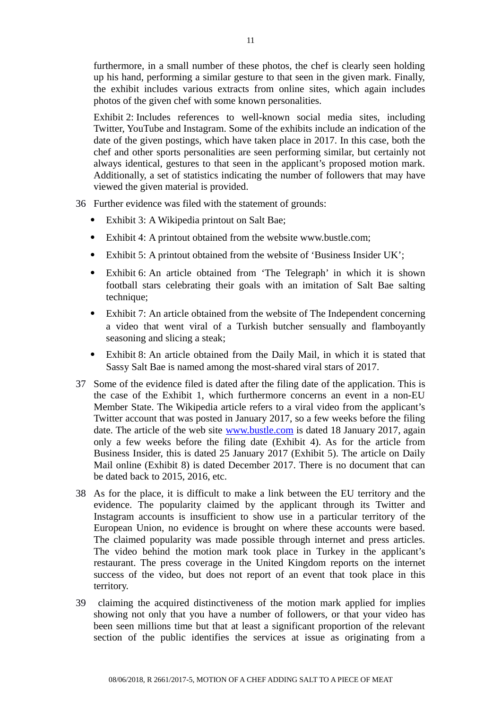furthermore, in a small number of these photos, the chef is clearly seen holding up his hand, performing a similar gesture to that seen in the given mark. Finally, the exhibit includes various extracts from online sites, which again includes photos of the given chef with some known personalities.

Exhibit 2: Includes references to well-known social media sites, including Twitter, YouTube and Instagram. Some of the exhibits include an indication of the date of the given postings, which have taken place in 2017. In this case, both the chef and other sports personalities are seen performing similar, but certainly not always identical, gestures to that seen in the applicant's proposed motion mark. Additionally, a set of statistics indicating the number of followers that may have viewed the given material is provided.

- 36 Further evidence was filed with the statement of grounds:
	- Exhibit 3: A Wikipedia printout on Salt Bae;
	- Exhibit 4: A printout obtained from the website www.bustle.com;
	- Exhibit 5: A printout obtained from the website of 'Business Insider UK';
	- Exhibit 6: An article obtained from 'The Telegraph' in which it is shown football stars celebrating their goals with an imitation of Salt Bae salting technique;
	- Exhibit 7: An article obtained from the website of The Independent concerning a video that went viral of a Turkish butcher sensually and flamboyantly seasoning and slicing a steak;
	- Exhibit 8: An article obtained from the Daily Mail, in which it is stated that Sassy Salt Bae is named among the most-shared viral stars of 2017.
- 37 Some of the evidence filed is dated after the filing date of the application. This is the case of the Exhibit 1, which furthermore concerns an event in a non-EU Member State. The Wikipedia article refers to a viral video from the applicant's Twitter account that was posted in January 2017, so a few weeks before the filing date. The article of the web site [www.bustle.com](http://www.bustle.com/) is dated 18 January 2017, again only a few weeks before the filing date (Exhibit 4). As for the article from Business Insider, this is dated 25 January 2017 (Exhibit 5). The article on Daily Mail online (Exhibit 8) is dated December 2017. There is no document that can be dated back to 2015, 2016, etc.
- 38 As for the place, it is difficult to make a link between the EU territory and the evidence. The popularity claimed by the applicant through its Twitter and Instagram accounts is insufficient to show use in a particular territory of the European Union, no evidence is brought on where these accounts were based. The claimed popularity was made possible through internet and press articles. The video behind the motion mark took place in Turkey in the applicant's restaurant. The press coverage in the United Kingdom reports on the internet success of the video, but does not report of an event that took place in this territory.
- 39 claiming the acquired distinctiveness of the motion mark applied for implies showing not only that you have a number of followers, or that your video has been seen millions time but that at least a significant proportion of the relevant section of the public identifies the services at issue as originating from a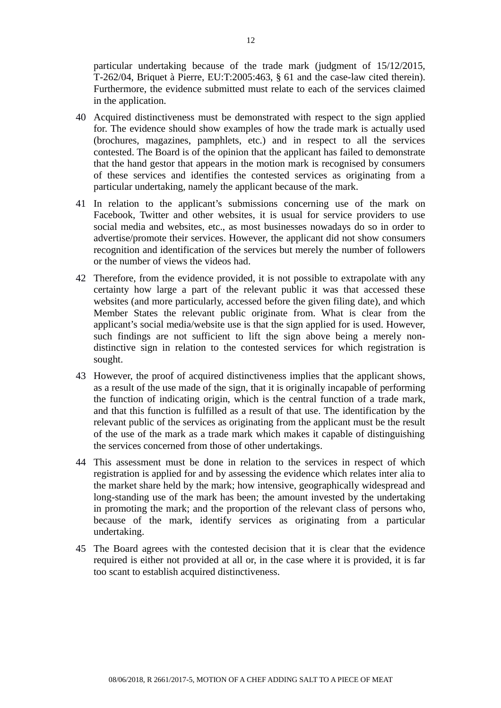particular undertaking because of the trade mark (judgment of 15/12/2015, T-262/04, Briquet à Pierre, EU:T:2005:463, § 61 and the case-law cited therein). Furthermore, the evidence submitted must relate to each of the services claimed in the application.

- 40 Acquired distinctiveness must be demonstrated with respect to the sign applied for. The evidence should show examples of how the trade mark is actually used (brochures, magazines, pamphlets, etc.) and in respect to all the services contested. The Board is of the opinion that the applicant has failed to demonstrate that the hand gestor that appears in the motion mark is recognised by consumers of these services and identifies the contested services as originating from a particular undertaking, namely the applicant because of the mark.
- 41 In relation to the applicant's submissions concerning use of the mark on Facebook, Twitter and other websites, it is usual for service providers to use social media and websites, etc., as most businesses nowadays do so in order to advertise/promote their services. However, the applicant did not show consumers recognition and identification of the services but merely the number of followers or the number of views the videos had.
- 42 Therefore, from the evidence provided, it is not possible to extrapolate with any certainty how large a part of the relevant public it was that accessed these websites (and more particularly, accessed before the given filing date), and which Member States the relevant public originate from. What is clear from the applicant's social media/website use is that the sign applied for is used. However, such findings are not sufficient to lift the sign above being a merely nondistinctive sign in relation to the contested services for which registration is sought.
- 43 However, the proof of acquired distinctiveness implies that the applicant shows, as a result of the use made of the sign, that it is originally incapable of performing the function of indicating origin, which is the central function of a trade mark, and that this function is fulfilled as a result of that use. The identification by the relevant public of the services as originating from the applicant must be the result of the use of the mark as a trade mark which makes it capable of distinguishing the services concerned from those of other undertakings.
- 44 This assessment must be done in relation to the services in respect of which registration is applied for and by assessing the evidence which relates inter alia to the market share held by the mark; how intensive, geographically widespread and long-standing use of the mark has been; the amount invested by the undertaking in promoting the mark; and the proportion of the relevant class of persons who, because of the mark, identify services as originating from a particular undertaking.
- 45 The Board agrees with the contested decision that it is clear that the evidence required is either not provided at all or, in the case where it is provided, it is far too scant to establish acquired distinctiveness.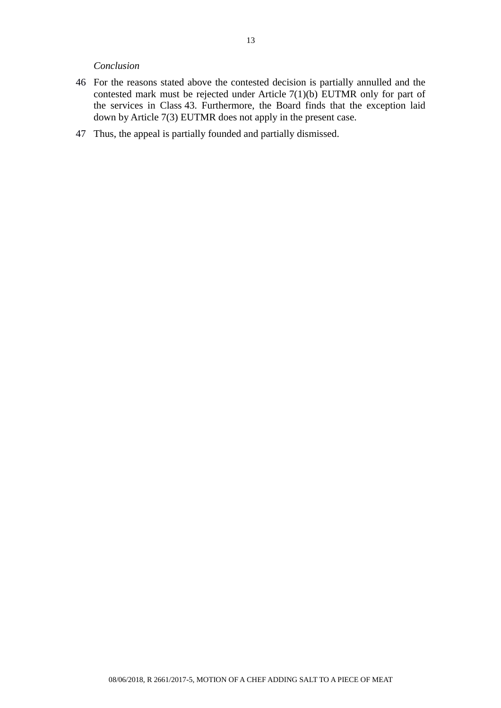#### *Conclusion*

- 46 For the reasons stated above the contested decision is partially annulled and the contested mark must be rejected under Article  $7(1)(b)$  EUTMR only for part of the services in Class 43. Furthermore, the Board finds that the exception laid down by Article 7(3) EUTMR does not apply in the present case.
- 47 Thus, the appeal is partially founded and partially dismissed.